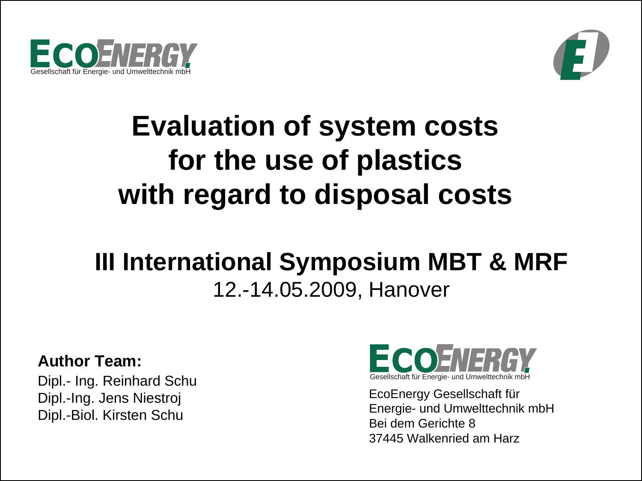



# **Evaluation of system costs for the use of plastics with regard to disposal costs**

# **III International Symposium MBT & MRF** 12.-14.05.2009, Hanover

#### **Author Team:**

Dipl.- Ing. Reinhard Schu Dipl.-Ing. Jens Niestroj Dipl.-Biol. Kirsten Schu



EcoEnergy Gesellschaft für Energie- und Umwelttechnik mbH Bei dem Gerichte 837445 Walkenried am Harz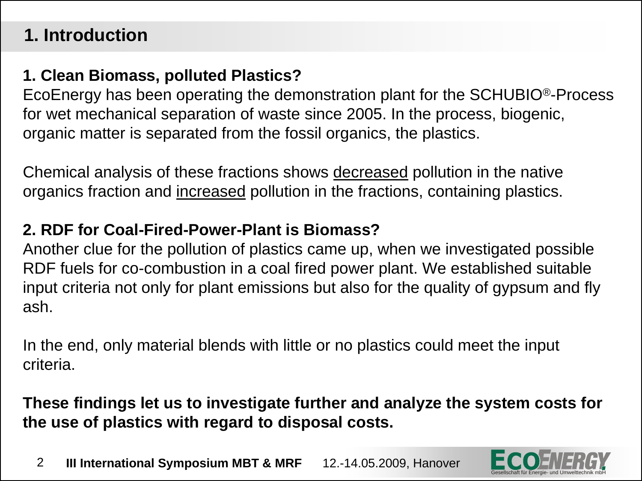# **1. Introduction**

#### **1. Clean Biomass, polluted Plastics?**

EcoEnergy has been operating the demonstration plant for the SCHUBIO®-Process for wet mechanical separation of waste since 2005. In the process, biogenic, organic matter is separated from the fossil organics, the plastics.

Chemical analysis of these fractions shows decreased pollution in the native organics fraction and increased pollution in the fractions, containing plastics.

#### **2. RDF for Coal-Fired-Power-Plant is Biomass?**

Another clue for the pollution of plastics came up, when we investigated possible RDF fuels for co-combustion in a coal fired power plant. We established suitable input criteria not only for plant emissions but also for the quality of gypsum and fly ash.

In the end, only material blends with little or no plastics could meet the input criteria.

**These findings let us to investigate further and analyze the system costs for the use of plastics with regard to disposal costs.**

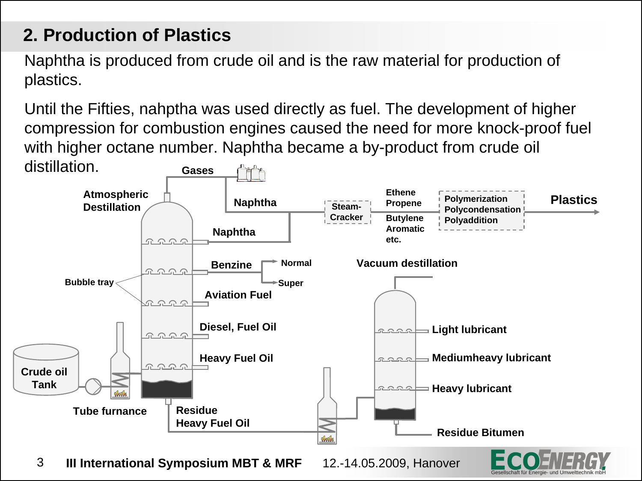# **2. Production of Plastics**

Naphtha is produced from crude oil and is the raw material for production of plastics.

Until the Fifties, nahptha was used directly as fuel. The development of higher compression for combustion engines caused the need for more knock-proof fuel with higher octane number. Naphtha became a by-product from crude oil distillation.



Gesellschaft für Energie- und Umwelttechnik mbH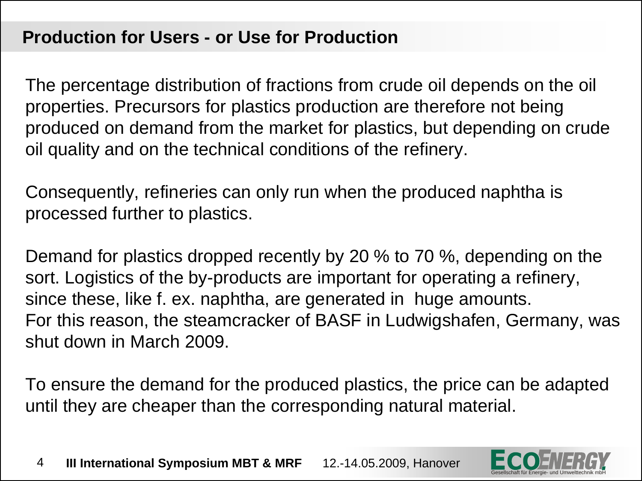#### **Production for Users - or Use for Production**

The percentage distribution of fractions from crude oil depends on the oil properties. Precursors for plastics production are therefore not being produced on demand from the market for plastics, but depending on crude oil quality and on the technical conditions of the refinery.

Consequently, refineries can only run when the produced naphtha is processed further to plastics.

Demand for plastics dropped recently by 20 % to 70 %, depending on the sort. Logistics of the by-products are important for operating a refinery, since these, like f. ex. naphtha, are generated in huge amounts. For this reason, the steamcracker of BASF in Ludwigshafen, Germany, was shut down in March 2009.

To ensure the demand for the produced plastics, the price can be adapted until they are cheaper than the corresponding natural material.

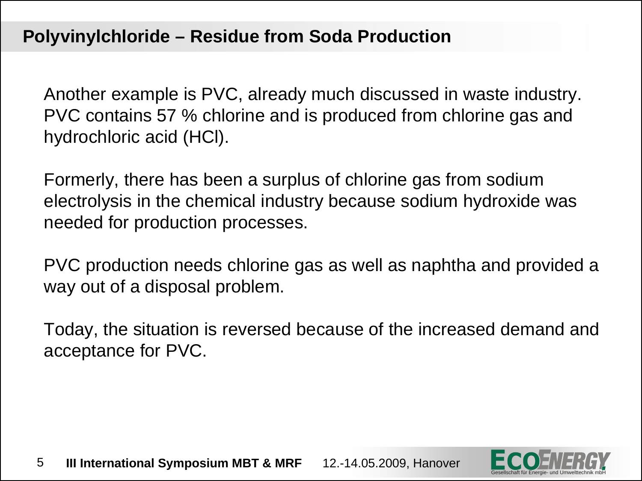Another example is PVC, already much discussed in waste industry. PVC contains 57 % chlorine and is produced from chlorine gas and hydrochloric acid (HCl).

Formerly, there has been a surplus of chlorine gas from sodium electrolysis in the chemical industry because sodium hydroxide was needed for production processes.

PVC production needs chlorine gas as well as naphtha and provided a way out of a disposal problem.

Today, the situation is reversed because of the increased demand and acceptance for PVC.

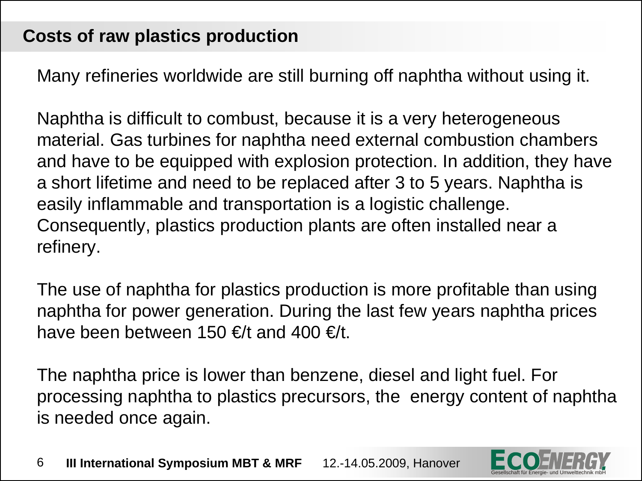Many refineries worldwide are still burning off naphtha without using it.

Naphtha is difficult to combust, because it is a very heterogeneous material. Gas turbines for naphtha need external combustion chambers and have to be equipped with explosion protection. In addition, they have a short lifetime and need to be replaced after 3 to 5 years. Naphtha is easily inflammable and transportation is a logistic challenge. Consequently, plastics production plants are often installed near a refinery.

The use of naphtha for plastics production is more profitable than using naphtha for power generation. During the last few years naphtha prices have been between 150  $\epsilon$ /t and 400  $\epsilon$ /t.

The naphtha price is lower than benzene, diesel and light fuel. For processing naphtha to plastics precursors, the energy content of naphtha is needed once again.

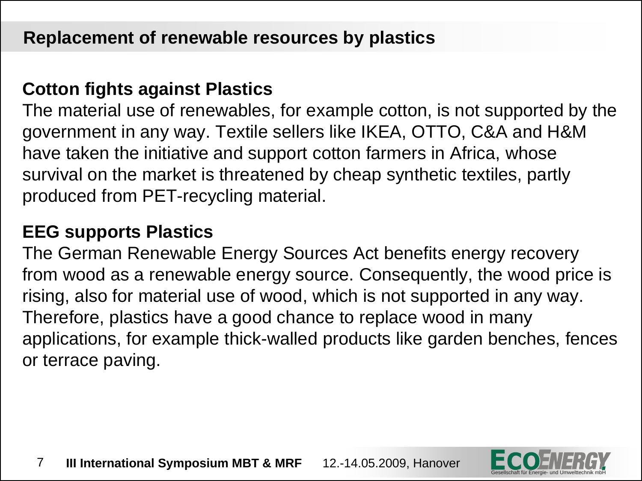#### **Cotton fights against Plastics**

The material use of renewables, for example cotton, is not supported by the government in any way. Textile sellers like IKEA, OTTO, C&A and H&M have taken the initiative and support cotton farmers in Africa, whose survival on the market is threatened by cheap synthetic textiles, partly produced from PET-recycling material.

#### **EEG supports Plastics**

The German Renewable Energy Sources Act benefits energy recovery from wood as a renewable energy source. Consequently, the wood price is rising, also for material use of wood, which is not supported in any way. Therefore, plastics have a good chance to replace wood in many applications, for example thick-walled products like garden benches, fences or terrace paving.



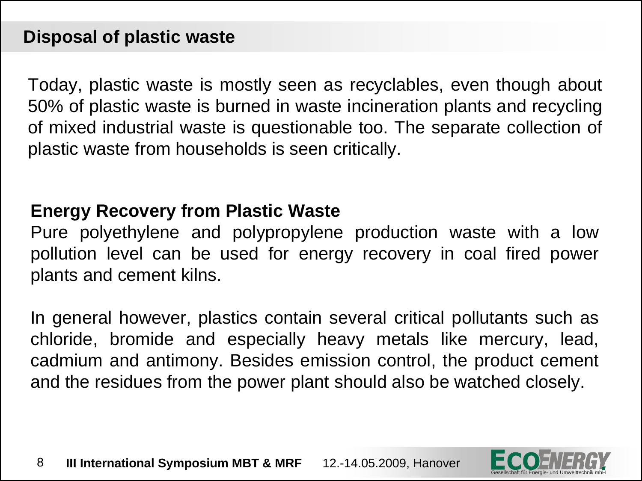Today, plastic waste is mostly seen as recyclables, even though about 50% of plastic waste is burned in waste incineration plants and recycling of mixed industrial waste is questionable too. The separate collection of plastic waste from households is seen critically.

#### **Energy Recovery from Plastic Waste**

Pure polyethylene and polypropylene production waste with a low pollution level can be used for energy recovery in coal fired power plants and cement kilns.

In general however, plastics contain several critical pollutants such as chloride, bromide and especially heavy metals like mercury, lead, cadmium and antimony. Besides emission control, the product cement and the residues from the power plant should also be watched closely.

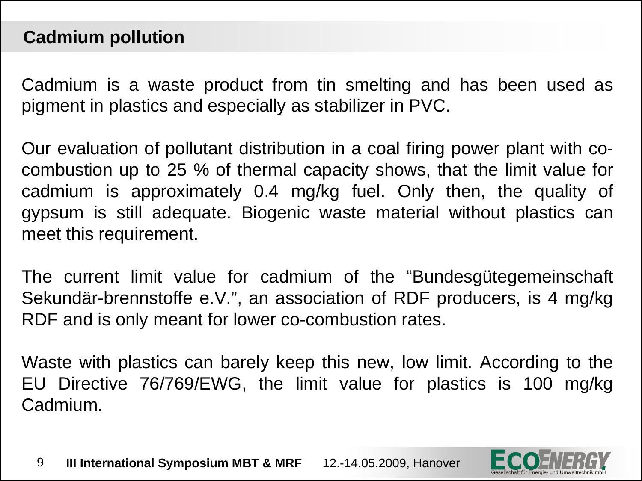#### **Cadmium pollution**

Cadmium is a waste product from tin smelting and has been used as pigment in plastics and especially as stabilizer in PVC.

Our evaluation of pollutant distribution in a coal firing power plant with cocombustion up to 25 % of thermal capacity shows, that the limit value for cadmium is approximately 0.4 mg/kg fuel. Only then, the quality of gypsum is still adequate. Biogenic waste material without plastics can meet this requirement.

The current limit value for cadmium of the "Bundesgütegemeinschaft Sekundär-brennstoffe e.V.", an association of RDF producers, is 4 mg/kg RDF and is only meant for lower co-combustion rates.

Waste with plastics can barely keep this new, low limit. According to the EU Directive 76/769/EWG, the limit value for plastics is 100 mg/kg Cadmium.

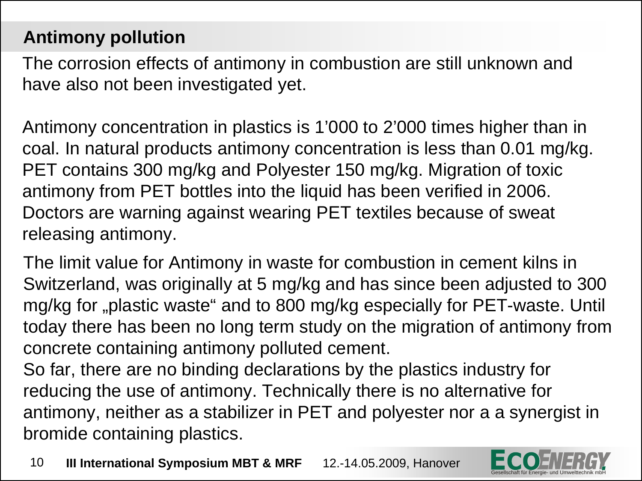# **Antimony pollution**

The corrosion effects of antimony in combustion are still unknown and have also not been investigated yet.

Antimony concentration in plastics is 1'000 to 2'000 times higher than in coal. In natural products antimony concentration is less than 0.01 mg/kg. PET contains 300 mg/kg and Polyester 150 mg/kg. Migration of toxic antimony from PET bottles into the liquid has been verified in 2006. Doctors are warning against wearing PET textiles because of sweat releasing antimony.

The limit value for Antimony in waste for combustion in cement kilns in Switzerland, was originally at 5 mg/kg and has since been adjusted to 300 mg/kg for "plastic waste" and to 800 mg/kg especially for PET-waste. Until today there has been no long term study on the migration of antimony from concrete containing antimony polluted cement.

So far, there are no binding declarations by the plastics industry for reducing the use of antimony. Technically there is no alternative for antimony, neither as a stabilizer in PET and polyester nor a a synergist in bromide containing plastics.

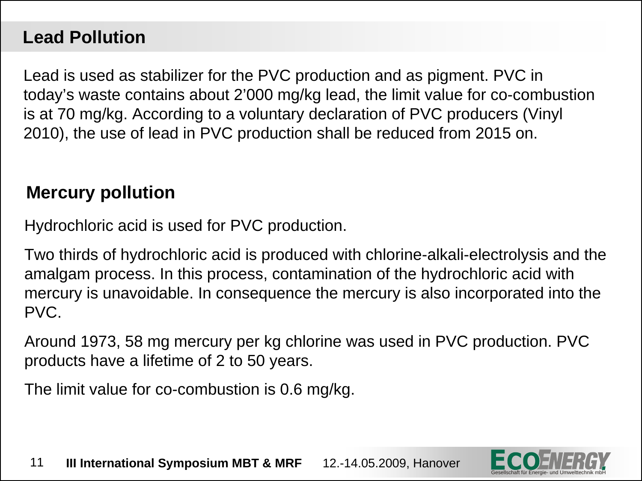## **Lead Pollution**

Lead is used as stabilizer for the PVC production and as pigment. PVC in today's waste contains about 2'000 mg/kg lead, the limit value for co-combustion is at 70 mg/kg. According to a voluntary declaration of PVC producers (Vinyl 2010), the use of lead in PVC production shall be reduced from 2015 on.

#### **Mercury pollution**

Hydrochloric acid is used for PVC production.

Two thirds of hydrochloric acid is produced with chlorine-alkali-electrolysis and the amalgam process. In this process, contamination of the hydrochloric acid with mercury is unavoidable. In consequence the mercury is also incorporated into the PVC.

Around 1973, 58 mg mercury per kg chlorine was used in PVC production. PVC products have a lifetime of 2 to 50 years.

The limit value for co-combustion is 0.6 mg/kg.

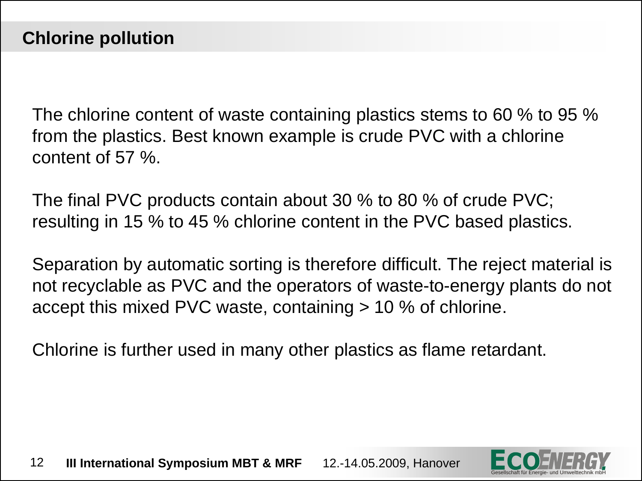The chlorine content of waste containing plastics stems to 60 % to 95 % from the plastics. Best known example is crude PVC with a chlorine content of 57 %.

The final PVC products contain about 30 % to 80 % of crude PVC; resulting in 15 % to 45 % chlorine content in the PVC based plastics.

Separation by automatic sorting is therefore difficult. The reject material is not recyclable as PVC and the operators of waste-to-energy plants do not accept this mixed PVC waste, containing > 10 % of chlorine.

Chlorine is further used in many other plastics as flame retardant.

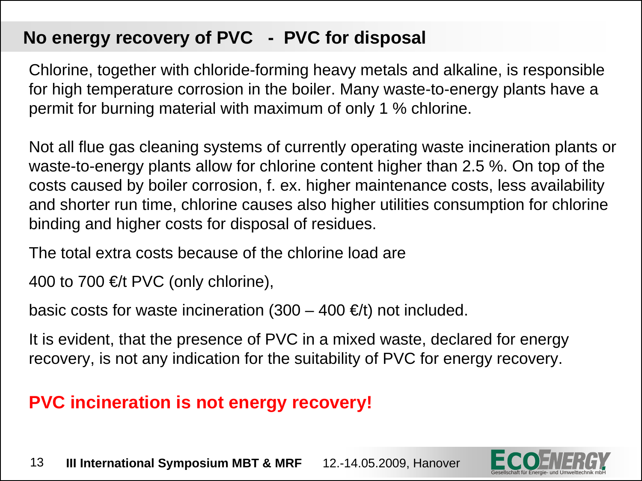## **No energy recovery of PVC - PVC for disposal**

Chlorine, together with chloride-forming heavy metals and alkaline, is responsible for high temperature corrosion in the boiler. Many waste-to-energy plants have a permit for burning material with maximum of only 1 % chlorine.

Not all flue gas cleaning systems of currently operating waste incineration plants or waste-to-energy plants allow for chlorine content higher than 2.5 %. On top of the costs caused by boiler corrosion, f. ex. higher maintenance costs, less availability and shorter run time, chlorine causes also higher utilities consumption for chlorine binding and higher costs for disposal of residues.

The total extra costs because of the chlorine load are

400 to 700  $\in$ /t PVC (only chlorine),

basic costs for waste incineration  $(300 - 400 \in E)$  not included.

It is evident, that the presence of PVC in a mixed waste, declared for energy recovery, is not any indication for the suitability of PVC for energy recovery.

# **PVC incineration is not energy recovery!**

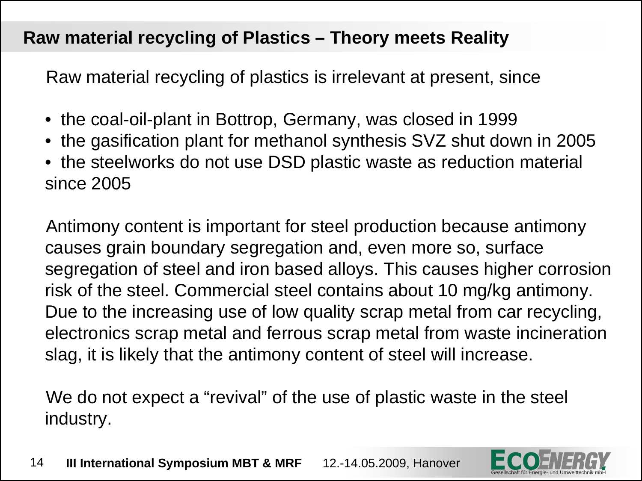#### **Raw material recycling of Plastics – Theory meets Reality**

Raw material recycling of plastics is irrelevant at present, since

- the coal-oil-plant in Bottrop, Germany, was closed in 1999
- the gasification plant for methanol synthesis SVZ shut down in 2005
- the steelworks do not use DSD plastic waste as reduction material since 2005

Antimony content is important for steel production because antimony causes grain boundary segregation and, even more so, surface segregation of steel and iron based alloys. This causes higher corrosion risk of the steel. Commercial steel contains about 10 mg/kg antimony. Due to the increasing use of low quality scrap metal from car recycling, electronics scrap metal and ferrous scrap metal from waste incineration slag, it is likely that the antimony content of steel will increase.

We do not expect a "revival" of the use of plastic waste in the steel industry.

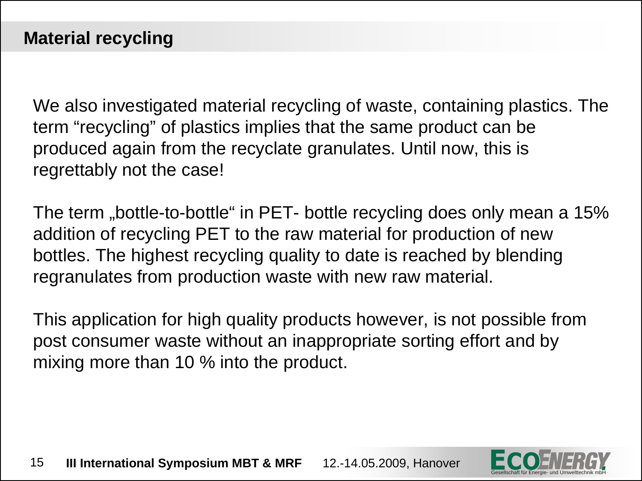We also investigated material recycling of waste, containing plastics. The term "recycling" of plastics implies that the same product can be produced again from the recyclate granulates. Until now, this is regrettably not the case!

The term "bottle-to-bottle" in PET- bottle recycling does only mean a 15% addition of recycling PET to the raw material for production of new bottles. The highest recycling quality to date is reached by blending regranulates from production waste with new raw material.

This application for high quality products however, is not possible from post consumer waste without an inappropriate sorting effort and by mixing more than 10 % into the product.



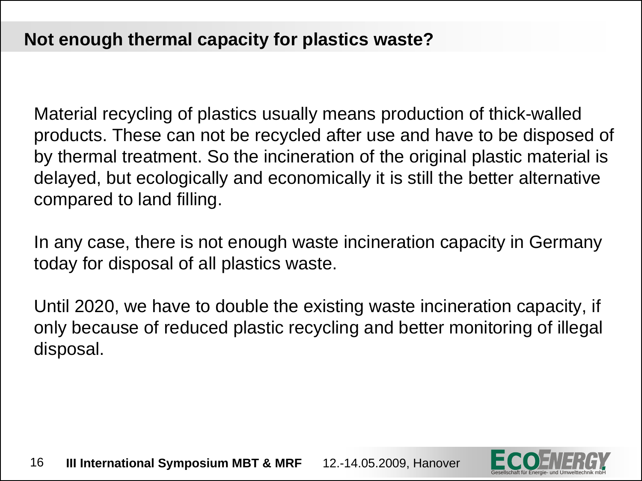Material recycling of plastics usually means production of thick-walled products. These can not be recycled after use and have to be disposed of by thermal treatment. So the incineration of the original plastic material is delayed, but ecologically and economically it is still the better alternative compared to land filling.

In any case, there is not enough waste incineration capacity in Germany today for disposal of all plastics waste.

Until 2020, we have to double the existing waste incineration capacity, if only because of reduced plastic recycling and better monitoring of illegal disposal.

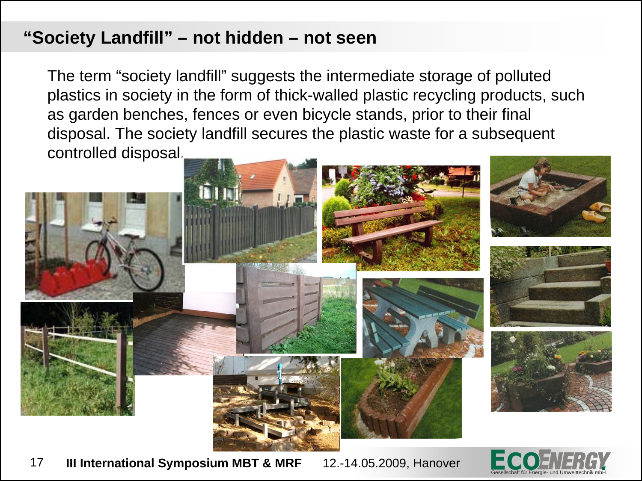#### **"Society Landfill" – not hidden – not seen**

The term "society landfill" suggests the intermediate storage of polluted plastics in society in the form of thick-walled plastic recycling products, such as garden benches, fences or even bicycle stands, prior to their final disposal. The society landfill secures the plastic waste for a subsequent controlled disposal.



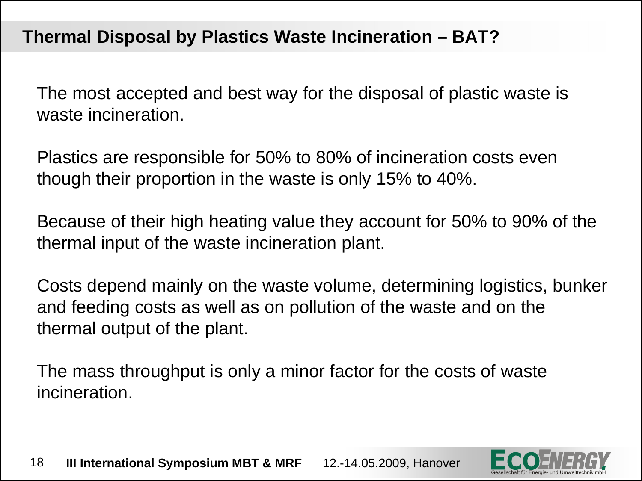#### **Thermal Disposal by Plastics Waste Incineration – BAT?**

The most accepted and best way for the disposal of plastic waste is waste incineration.

Plastics are responsible for 50% to 80% of incineration costs even though their proportion in the waste is only 15% to 40%.

Because of their high heating value they account for 50% to 90% of the thermal input of the waste incineration plant.

Costs depend mainly on the waste volume, determining logistics, bunker and feeding costs as well as on pollution of the waste and on the thermal output of the plant.

The mass throughput is only a minor factor for the costs of waste incineration.

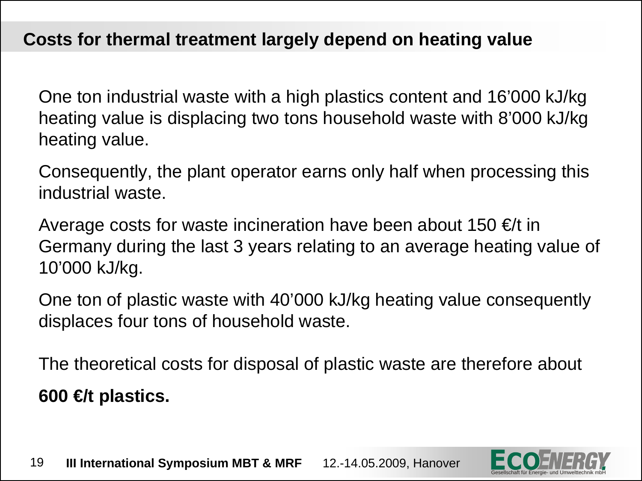#### **Costs for thermal treatment largely depend on heating value**

One ton industrial waste with a high plastics content and 16'000 kJ/kg heating value is displacing two tons household waste with 8'000 kJ/kg heating value.

Consequently, the plant operator earns only half when processing this industrial waste.

Average costs for waste incineration have been about 150  $\in$ /t in Germany during the last 3 years relating to an average heating value of 10'000 kJ/kg.

One ton of plastic waste with 40'000 kJ/kg heating value consequently displaces four tons of household waste.

The theoretical costs for disposal of plastic waste are therefore about **600 €/t plastics.**

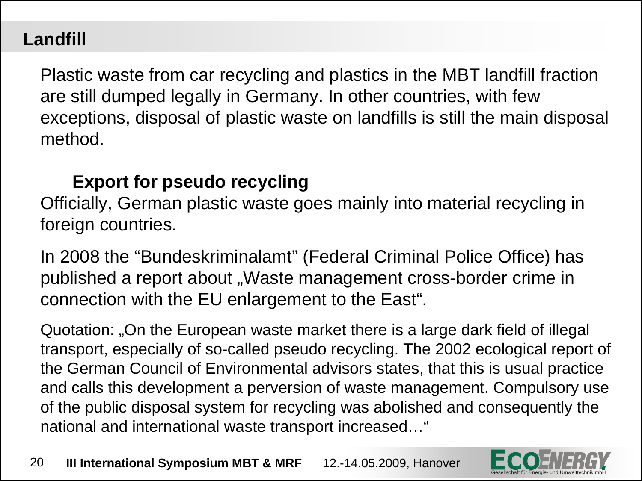# **Landfill**

Plastic waste from car recycling and plastics in the MBT landfill fraction are still dumped legally in Germany. In other countries, with few exceptions, disposal of plastic waste on landfills is still the main disposal method.

#### **Export for pseudo recycling**

Officially, German plastic waste goes mainly into material recycling in foreign countries.

In 2008 the "Bundeskriminalamt" (Federal Criminal Police Office) has published a report about "Waste management cross-border crime in connection with the EU enlargement to the East".

Quotation: "On the European waste market there is a large dark field of illegal transport, especially of so-called pseudo recycling. The 2002 ecological report of the German Council of Environmental advisors states, that this is usual practice and calls this development a perversion of waste management. Compulsory use of the public disposal system for recycling was abolished and consequently the national and international waste transport increased…"

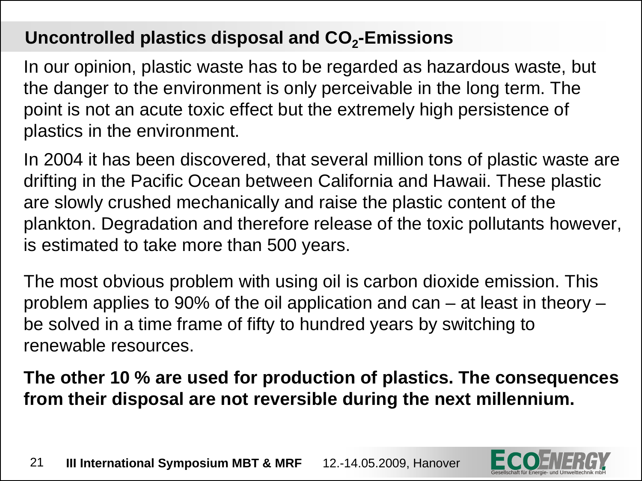## **Uncontrolled plastics disposal and CO2-Emissions**

In our opinion, plastic waste has to be regarded as hazardous waste, but the danger to the environment is only perceivable in the long term. The point is not an acute toxic effect but the extremely high persistence of plastics in the environment.

In 2004 it has been discovered, that several million tons of plastic waste are drifting in the Pacific Ocean between California and Hawaii. These plastic are slowly crushed mechanically and raise the plastic content of the plankton. Degradation and therefore release of the toxic pollutants however, is estimated to take more than 500 years.

The most obvious problem with using oil is carbon dioxide emission. This problem applies to 90% of the oil application and can – at least in theory – be solved in a time frame of fifty to hundred years by switching to renewable resources.

**The other 10 % are used for production of plastics. The consequences from their disposal are not reversible during the next millennium.**

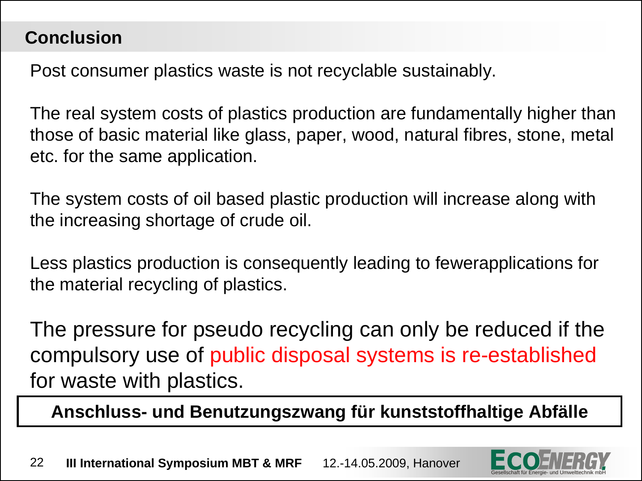#### **Conclusion**

Post consumer plastics waste is not recyclable sustainably.

The real system costs of plastics production are fundamentally higher than those of basic material like glass, paper, wood, natural fibres, stone, metal etc. for the same application.

The system costs of oil based plastic production will increase along with the increasing shortage of crude oil.

Less plastics production is consequently leading to fewerapplications for the material recycling of plastics.

The pressure for pseudo recycling can only be reduced if the compulsory use of public disposal systems is re-established for waste with plastics.

**Anschluss- und Benutzungszwang für kunststoffhaltige Abfälle**